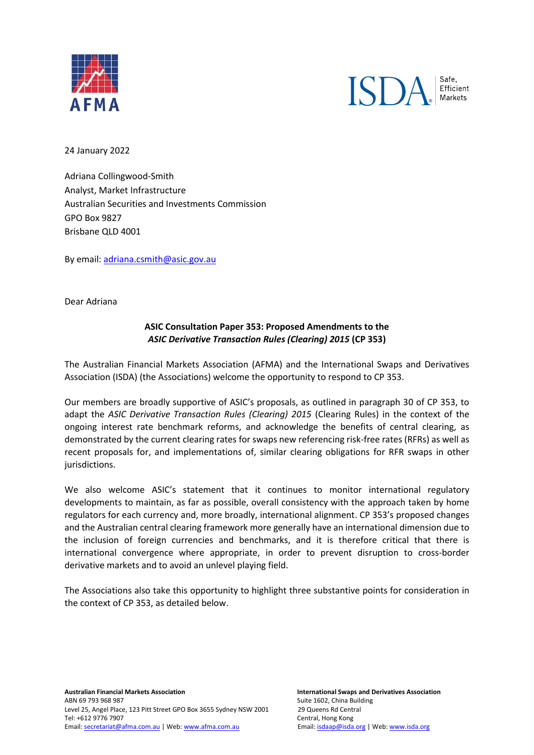



24 January 2022

Adriana Collingwood-Smith Analyst, Market Infrastructure Australian Securities and Investments Commission GPO Box 9827 Brisbane QLD 4001

By email: [adriana.csmith@asic.gov.au](mailto:adriana.csmith@asic.gov.au)

Dear Adriana

## **ASIC Consultation Paper 353: Proposed Amendments to the**  *ASIC Derivative Transaction Rules (Clearing) 2015* **(CP 353)**

The Australian Financial Markets Association (AFMA) and the International Swaps and Derivatives Association (ISDA) (the Associations) welcome the opportunity to respond to CP 353.

Our members are broadly supportive of ASIC's proposals, as outlined in paragraph 30 of CP 353, to adapt the *ASIC Derivative Transaction Rules (Clearing) 2015* (Clearing Rules) in the context of the ongoing interest rate benchmark reforms, and acknowledge the benefits of central clearing, as demonstrated by the current clearing rates for swaps new referencing risk-free rates (RFRs) as well as recent proposals for, and implementations of, similar clearing obligations for RFR swaps in other jurisdictions.

We also welcome ASIC's statement that it continues to monitor international regulatory developments to maintain, as far as possible, overall consistency with the approach taken by home regulators for each currency and, more broadly, international alignment. CP 353's proposed changes and the Australian central clearing framework more generally have an international dimension due to the inclusion of foreign currencies and benchmarks, and it is therefore critical that there is international convergence where appropriate, in order to prevent disruption to cross-border derivative markets and to avoid an unlevel playing field.

The Associations also take this opportunity to highlight three substantive points for consideration in the context of CP 353, as detailed below.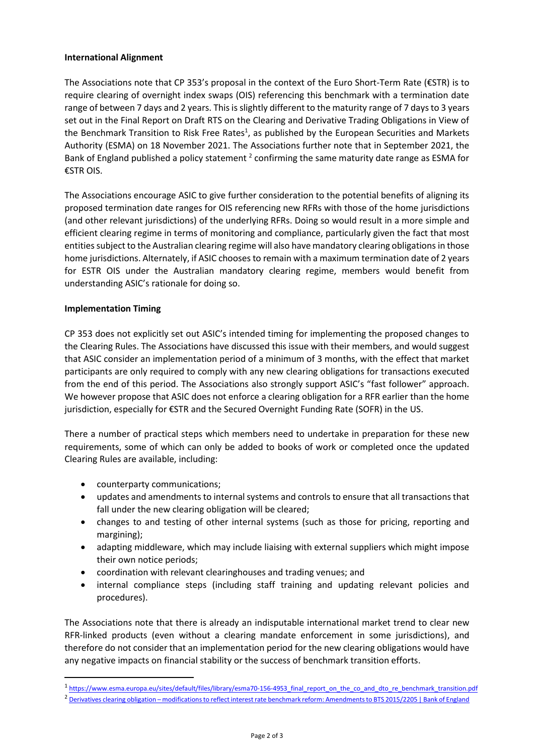## **International Alignment**

The Associations note that CP 353's proposal in the context of the Euro Short-Term Rate (€STR) is to require clearing of overnight index swaps (OIS) referencing this benchmark with a termination date range of between 7 days and 2 years. This is slightly different to the maturity range of 7 days to 3 years set out in the Final Report on Draft RTS on the Clearing and Derivative Trading Obligations in View of the Benchmark Transition to Risk Free Rates<sup>1</sup>, as published by the European Securities and Markets Authority (ESMA) on 18 November 2021. The Associations further note that in September 2021, the Bank of England published a policy statement  $^2$  confirming the same maturity date range as ESMA for €STR OIS.

The Associations encourage ASIC to give further consideration to the potential benefits of aligning its proposed termination date ranges for OIS referencing new RFRs with those of the home jurisdictions (and other relevant jurisdictions) of the underlying RFRs. Doing so would result in a more simple and efficient clearing regime in terms of monitoring and compliance, particularly given the fact that most entities subject to the Australian clearing regime will also have mandatory clearing obligations in those home jurisdictions. Alternately, if ASIC chooses to remain with a maximum termination date of 2 years for ESTR OIS under the Australian mandatory clearing regime, members would benefit from understanding ASIC's rationale for doing so.

## **Implementation Timing**

CP 353 does not explicitly set out ASIC's intended timing for implementing the proposed changes to the Clearing Rules. The Associations have discussed this issue with their members, and would suggest that ASIC consider an implementation period of a minimum of 3 months, with the effect that market participants are only required to comply with any new clearing obligations for transactions executed from the end of this period. The Associations also strongly support ASIC's "fast follower" approach. We however propose that ASIC does not enforce a clearing obligation for a RFR earlier than the home jurisdiction, especially for €STR and the Secured Overnight Funding Rate (SOFR) in the US.

There a number of practical steps which members need to undertake in preparation for these new requirements, some of which can only be added to books of work or completed once the updated Clearing Rules are available, including:

- counterparty communications;
- updates and amendments to internal systems and controls to ensure that all transactions that fall under the new clearing obligation will be cleared;
- changes to and testing of other internal systems (such as those for pricing, reporting and margining);
- adapting middleware, which may include liaising with external suppliers which might impose their own notice periods;
- coordination with relevant clearinghouses and trading venues; and
- internal compliance steps (including staff training and updating relevant policies and procedures).

The Associations note that there is already an indisputable international market trend to clear new RFR-linked products (even without a clearing mandate enforcement in some jurisdictions), and therefore do not consider that an implementation period for the new clearing obligations would have any negative impacts on financial stability or the success of benchmark transition efforts.

<sup>&</sup>lt;sup>1</sup> [https://www.esma.europa.eu/sites/default/files/library/esma70-156-4953\\_final\\_report\\_on\\_the\\_co\\_and\\_dto\\_re\\_benchmark\\_transition.pdf](https://www.esma.europa.eu/sites/default/files/library/esma70-156-4953_final_report_on_the_co_and_dto_re_benchmark_transition.pdf)

<sup>&</sup>lt;sup>2</sup> Derivatives clearing obligation – [modifications to reflect interest rate benchmark reform: Amendments to BTS 2015/2205 | Bank of England](https://www.bankofengland.co.uk/paper/2021/derivatives-clearing-obligation-modifications-to-reflect-interest-rate-benchmark-reform)